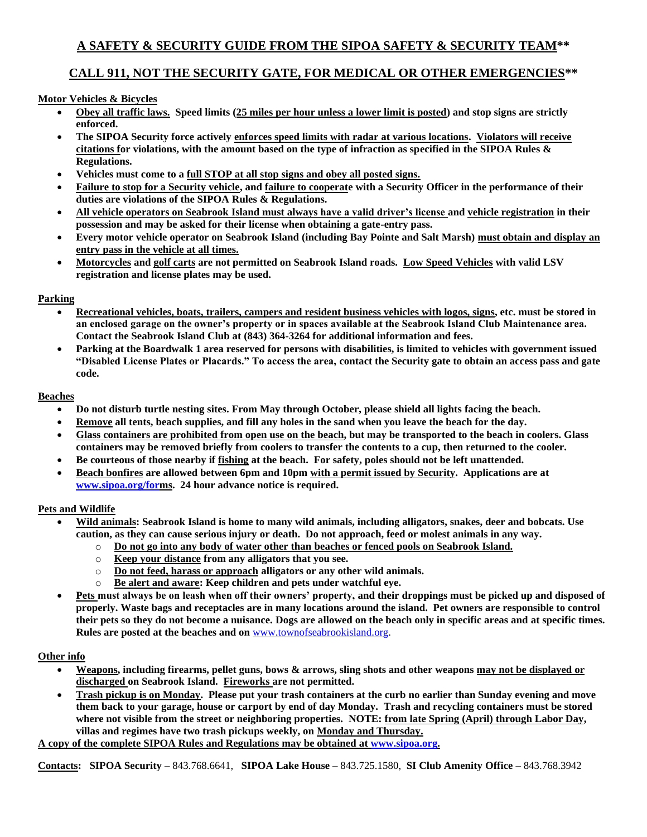### **A SAFETY & SECURITY GUIDE FROM THE SIPOA SAFETY & SECURITY TEAM\*\***

### **CALL 911, NOT THE SECURITY GATE, FOR MEDICAL OR OTHER EMERGENCIES\*\***

#### **Motor Vehicles & Bicycles**

- **Obey all traffic laws. Speed limits (25 miles per hour unless a lower limit is posted) and stop signs are strictly enforced.**
- **The SIPOA Security force actively enforces speed limits with radar at various locations. Violators will receive citations for violations, with the amount based on the type of infraction as specified in the SIPOA Rules & Regulations.**
- **Vehicles must come to a full STOP at all stop signs and obey all posted signs.**
- **Failure to stop for a Security vehicle, and failure to cooperate with a Security Officer in the performance of their duties are violations of the SIPOA Rules & Regulations.**
- **All vehicle operators on Seabrook Island must always have a valid driver's license and vehicle registration in their possession and may be asked for their license when obtaining a gate-entry pass.**
- **Every motor vehicle operator on Seabrook Island (including Bay Pointe and Salt Marsh) must obtain and display an entry pass in the vehicle at all times.**
- **Motorcycles and golf carts are not permitted on Seabrook Island roads. Low Speed Vehicles with valid LSV registration and license plates may be used.**

#### **Parking**

- **Recreational vehicles, boats, trailers, campers and resident business vehicles with logos, signs, etc. must be stored in an enclosed garage on the owner's property or in spaces available at the Seabrook Island Club Maintenance area. Contact the Seabrook Island Club at (843) 364-3264 for additional information and fees.**
- **Parking at the Boardwalk 1 area reserved for persons with disabilities, is limited to vehicles with government issued "Disabled License Plates or Placards." To access the area, contact the Security gate to obtain an access pass and gate code.**

#### **Beaches**

- **Do not disturb turtle nesting sites. From May through October, please shield all lights facing the beach.**
- **Remove all tents, beach supplies, and fill any holes in the sand when you leave the beach for the day.**
- **Glass containers are prohibited from open use on the beach, but may be transported to the beach in coolers. Glass containers may be removed briefly from coolers to transfer the contents to a cup, then returned to the cooler.**
- **Be courteous of those nearby if fishing at the beach. For safety, poles should not be left unattended.**
- **Beach bonfires are allowed between 6pm and 10pm with a permit issued by Security. Applications are at [www.sipoa.org/form](http://www.sipoa.org/for)s. 24 hour advance notice is required.**

#### **Pets and Wildlife**

- **Wild animals: Seabrook Island is home to many wild animals, including alligators, snakes, deer and bobcats. Use caution, as they can cause serious injury or death. Do not approach, feed or molest animals in any way.**
	- o **Do not go into any body of water other than beaches or fenced pools on Seabrook Island.**
	- o **Keep your distance from any alligators that you see.**
	- o **Do not feed, harass or approach alligators or any other wild animals.**
	- o **Be alert and aware: Keep children and pets under watchful eye.**
- **Pets must always be on leash when off their owners' property, and their droppings must be picked up and disposed of properly. Waste bags and receptacles are in many locations around the island. Pet owners are responsible to control their pets so they do not become a nuisance. Dogs are allowed on the beach only in specific areas and at specific times. Rules are posted at the beaches and on** [www.townofseabrookisland.org.](http://www.townofseabrookisland.org/)

#### **Other info**

- **Weapons, including firearms, pellet guns, bows & arrows, sling shots and other weapons may not be displayed or discharged on Seabrook Island. Fireworks are not permitted.**
- **Trash pickup is on Monday. Please put your trash containers at the curb no earlier than Sunday evening and move them back to your garage, house or carport by end of day Monday. Trash and recycling containers must be stored where not visible from the street or neighboring properties. NOTE: from late Spring (April) through Labor Day, villas and regimes have two trash pickups weekly, on Monday and Thursday.**

**A copy of the complete SIPOA Rules and Regulations may be obtained a[t www.sipoa.org.](http://www.sipoa.org/)**

**Contacts: SIPOA Security** – 843.768.6641, **SIPOA Lake House** – 843.725.1580, **SI Club Amenity Office** – 843.768.3942